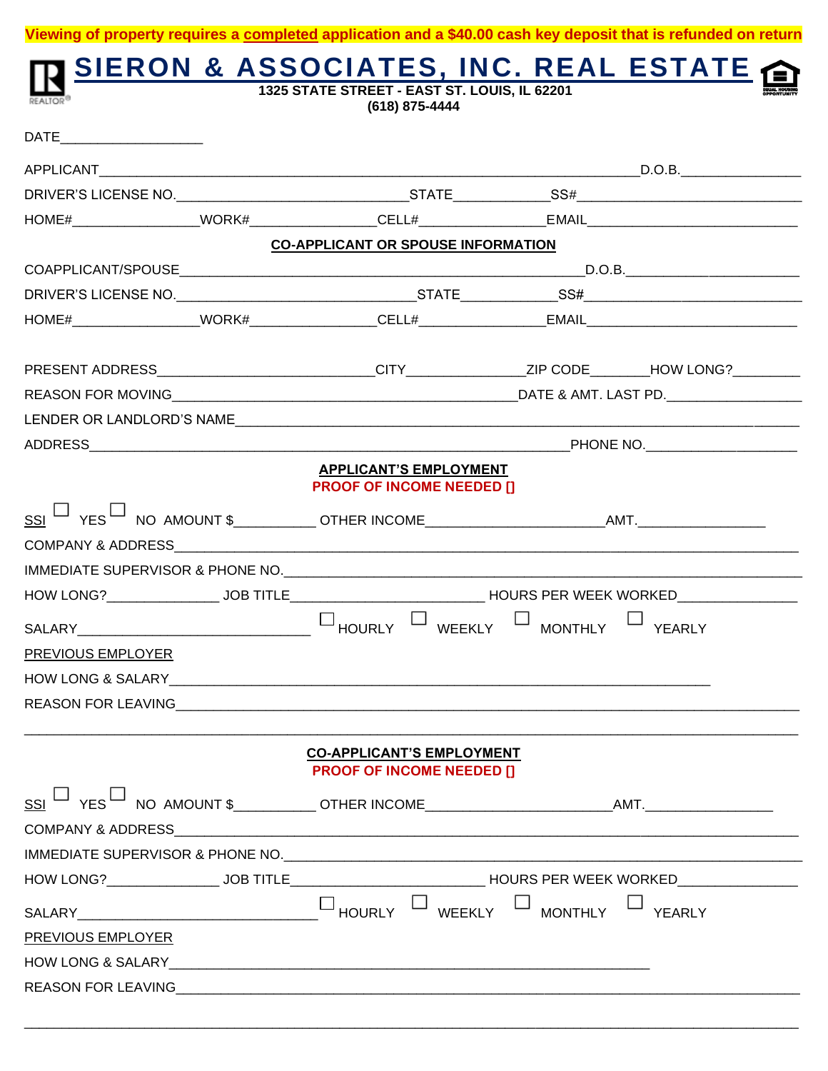|                          | SIERON & ASSOCIATES, INC. REAL ESTATE<br>(618) 875-4444 |                                                                                                                |                |        |  |  |  |
|--------------------------|---------------------------------------------------------|----------------------------------------------------------------------------------------------------------------|----------------|--------|--|--|--|
|                          |                                                         |                                                                                                                |                |        |  |  |  |
|                          |                                                         |                                                                                                                |                |        |  |  |  |
|                          |                                                         |                                                                                                                |                |        |  |  |  |
|                          |                                                         |                                                                                                                |                |        |  |  |  |
|                          |                                                         | <b>CO-APPLICANT OR SPOUSE INFORMATION</b>                                                                      |                |        |  |  |  |
|                          |                                                         |                                                                                                                |                |        |  |  |  |
|                          |                                                         |                                                                                                                |                |        |  |  |  |
|                          |                                                         |                                                                                                                |                |        |  |  |  |
|                          |                                                         |                                                                                                                |                |        |  |  |  |
|                          |                                                         |                                                                                                                |                |        |  |  |  |
|                          |                                                         |                                                                                                                |                |        |  |  |  |
|                          |                                                         |                                                                                                                |                |        |  |  |  |
|                          |                                                         | <b>APPLICANT'S EMPLOYMENT</b><br><b>PROOF OF INCOME NEEDED []</b>                                              |                |        |  |  |  |
|                          |                                                         |                                                                                                                |                |        |  |  |  |
|                          |                                                         |                                                                                                                |                |        |  |  |  |
|                          |                                                         |                                                                                                                |                |        |  |  |  |
|                          |                                                         | HOW LONG?_______________________JOB TITLE________________________________HOURS PER WEEK WORKED________________ |                |        |  |  |  |
|                          |                                                         | WEEKLY<br><sup>J</sup> HOURLY                                                                                  | $\Box$ MONTHLY | YEARLY |  |  |  |
| <b>PREVIOUS EMPLOYER</b> |                                                         |                                                                                                                |                |        |  |  |  |
|                          |                                                         |                                                                                                                |                |        |  |  |  |
|                          |                                                         | REASON FOR LEAVING THE RESIDENCE OF A STREET AND THE REASON FOR LEAVING                                        |                |        |  |  |  |
|                          |                                                         | <b>CO-APPLICANT'S EMPLOYMENT</b><br><b>PROOF OF INCOME NEEDED []</b>                                           |                |        |  |  |  |
|                          |                                                         |                                                                                                                |                |        |  |  |  |
|                          |                                                         |                                                                                                                |                |        |  |  |  |
|                          |                                                         |                                                                                                                |                |        |  |  |  |
|                          |                                                         | HOW LONG?______________________JOB TITLE________________________________HOURS PER WEEK WORKED_________________ |                |        |  |  |  |
|                          |                                                         |                                                                                                                | $\perp$        |        |  |  |  |
|                          |                                                         | WEEKLY                                                                                                         | <b>MONTHLY</b> | YEARLY |  |  |  |
| PREVIOUS EMPLOYER        |                                                         |                                                                                                                |                |        |  |  |  |

**Viewing of property requires a completed application and a \$40.00 cash key deposit that is refunded on return**